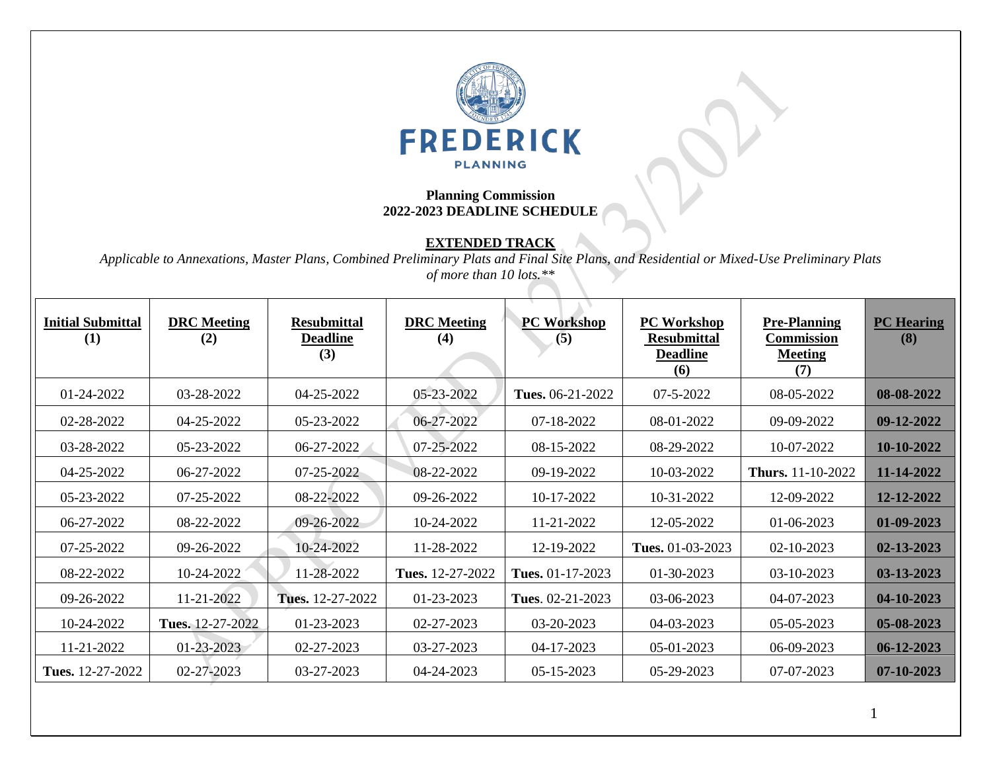

## **Planning Commission 2022-2023 DEADLINE SCHEDULE**

## **EXTENDED TRACK**

*Applicable to Annexations, Master Plans, Combined Preliminary Plats and Final Site Plans, and Residential or Mixed-Use Preliminary Plats of more than 10 lots.\*\**

| <b>Initial Submittal</b><br>(1) | <b>DRC</b> Meeting<br>(2) | <b>Resubmittal</b><br><b>Deadline</b><br>(3) | <b>DRC</b> Meeting<br>(4) | <b>PC Workshop</b><br>(5) | <b>PC Workshop</b><br><b>Resubmittal</b><br><b>Deadline</b><br>(6) | <b>Pre-Planning</b><br>Commission<br><b>Meeting</b><br>(7) | <b>PC</b> Hearing<br>(8) |
|---------------------------------|---------------------------|----------------------------------------------|---------------------------|---------------------------|--------------------------------------------------------------------|------------------------------------------------------------|--------------------------|
| 01-24-2022                      | 03-28-2022                | 04-25-2022                                   | 05-23-2022                | Tues. 06-21-2022          | $07 - 5 - 2022$                                                    | 08-05-2022                                                 | 08-08-2022               |
| 02-28-2022                      | 04-25-2022                | 05-23-2022                                   | 06-27-2022                | 07-18-2022                | 08-01-2022                                                         | 09-09-2022                                                 | 09-12-2022               |
| 03-28-2022                      | 05-23-2022                | 06-27-2022                                   | 07-25-2022                | 08-15-2022                | 08-29-2022                                                         | 10-07-2022                                                 | 10-10-2022               |
| 04-25-2022                      | 06-27-2022                | 07-25-2022                                   | 08-22-2022                | 09-19-2022                | 10-03-2022                                                         | <b>Thurs.</b> 11-10-2022                                   | 11-14-2022               |
| 05-23-2022                      | 07-25-2022                | 08-22-2022                                   | 09-26-2022                | 10-17-2022                | 10-31-2022                                                         | 12-09-2022                                                 | 12-12-2022               |
| 06-27-2022                      | 08-22-2022                | 09-26-2022                                   | 10-24-2022                | 11-21-2022                | 12-05-2022                                                         | 01-06-2023                                                 | 01-09-2023               |
| 07-25-2022                      | 09-26-2022                | 10-24-2022                                   | 11-28-2022                | 12-19-2022                | Tues. 01-03-2023                                                   | 02-10-2023                                                 | 02-13-2023               |
| 08-22-2022                      | 10-24-2022                | 11-28-2022                                   | Tues. 12-27-2022          | Tues. 01-17-2023          | 01-30-2023                                                         | 03-10-2023                                                 | 03-13-2023               |
| 09-26-2022                      | 11-21-2022                | Tues. 12-27-2022                             | 01-23-2023                | Tues. 02-21-2023          | 03-06-2023                                                         | 04-07-2023                                                 | 04-10-2023               |
| 10-24-2022                      | Tues. 12-27-2022          | 01-23-2023                                   | 02-27-2023                | 03-20-2023                | 04-03-2023                                                         | 05-05-2023                                                 | 05-08-2023               |
| 11-21-2022                      | 01-23-2023                | 02-27-2023                                   | 03-27-2023                | 04-17-2023                | 05-01-2023                                                         | 06-09-2023                                                 | $06 - 12 - 2023$         |
| <b>Tues.</b> 12-27-2022         | 02-27-2023                | 03-27-2023                                   | 04-24-2023                | 05-15-2023                | 05-29-2023                                                         | 07-07-2023                                                 | $07 - 10 - 2023$         |

1